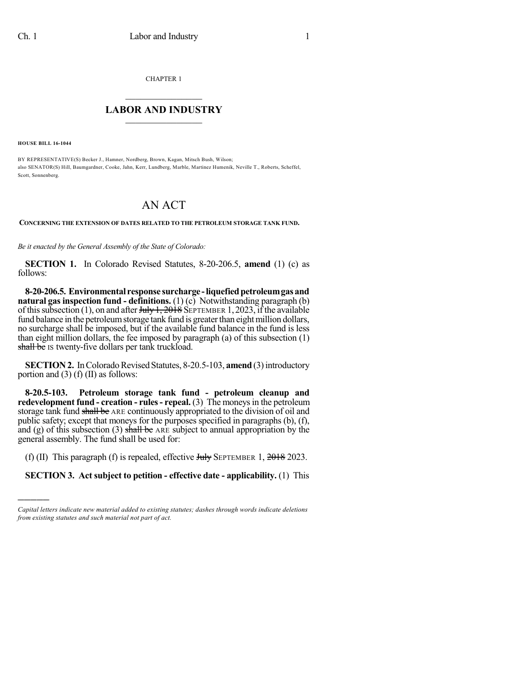CHAPTER 1

## $\mathcal{L}_\text{max}$  . The set of the set of the set of the set of the set of the set of the set of the set of the set of the set of the set of the set of the set of the set of the set of the set of the set of the set of the set **LABOR AND INDUSTRY**  $\frac{1}{\sqrt{2}}$  ,  $\frac{1}{\sqrt{2}}$  ,  $\frac{1}{\sqrt{2}}$  ,  $\frac{1}{\sqrt{2}}$  ,  $\frac{1}{\sqrt{2}}$  ,  $\frac{1}{\sqrt{2}}$

**HOUSE BILL 16-1044**

)))))

BY REPRESENTATIVE(S) Becker J., Hamner, Nordberg, Brown, Kagan, Mitsch Bush, Wilson; also SENATOR(S) Hill, Baumgardner, Cooke, Jahn, Kerr, Lundberg, Marble, Martinez Humenik, Neville T., Roberts, Scheffel, Scott, Sonnenberg.

## AN ACT

**CONCERNING THE EXTENSION OF DATES RELATED TO THE PETROLEUM STORAGE TANK FUND.**

*Be it enacted by the General Assembly of the State of Colorado:*

**SECTION 1.** In Colorado Revised Statutes, 8-20-206.5, **amend** (1) (c) as follows:

**8-20-206.5. Environmental response surcharge -liquefiedpetroleumgasand natural gas inspection fund - definitions.** (1) (c) Notwithstanding paragraph (b) of this subsection (1), on and after  $J_{\text{t}}$  of  $\frac{1}{2018}$  SEPTEMBER 1, 2023, if the available fund balance in the petroleum storage tank fund is greater than eight million dollars, no surcharge shall be imposed, but if the available fund balance in the fund is less than eight million dollars, the fee imposed by paragraph (a) of this subsection (1) shall be IS twenty-five dollars per tank truckload.

**SECTION 2.** In Colorado Revised Statutes, 8-20.5-103, **amend** (3) introductory portion and (3) (f) (II) as follows:

**8-20.5-103. Petroleum storage tank fund - petroleum cleanup and redevelopment fund - creation - rules- repeal.** (3) The moneysin the petroleum storage tank fund shall be ARE continuously appropriated to the division of oil and public safety; except that moneys for the purposes specified in paragraphs (b), (f), and (g) of this subsection (3) shall be ARE subject to annual appropriation by the general assembly. The fund shall be used for:

(f) (II) This paragraph (f) is repealed, effective  $J_{\text{t}}$  SEPTEMBER 1,  $2018$  2023.

**SECTION 3. Act subject to petition - effective date - applicability.** (1) This

*Capital letters indicate new material added to existing statutes; dashes through words indicate deletions from existing statutes and such material not part of act.*